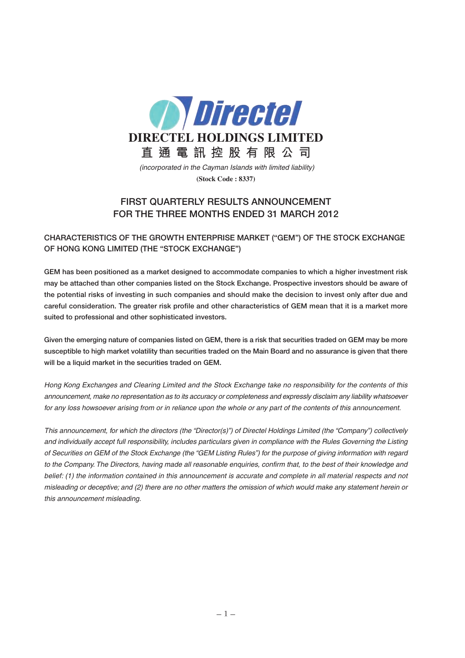

 (incorporated in the Cayman Islands with limited liability) **(Stock Code : 8337)**

# **FIRST QUARTERLY RESULTS ANNOUNCEMENT FOR THE THREE MONTHS ENDED 31 MARCH 2012**

# **CHARACTERISTICS OF THE GROWTH ENTERPRISE MARKET ("GEM") OF THE STOCK EXCHANGE OF HONG KONG LIMITED (THE "STOCK EXCHANGE")**

**GEM has been positioned as a market designed to accommodate companies to which a higher investment risk may be attached than other companies listed on the Stock Exchange. Prospective investors should be aware of the potential risks of investing in such companies and should make the decision to invest only after due and careful consideration. The greater risk profile and other characteristics of GEM mean that it is a market more suited to professional and other sophisticated investors.**

**Given the emerging nature of companies listed on GEM, there is a risk that securities traded on GEM may be more susceptible to high market volatility than securities traded on the Main Board and no assurance is given that there will be a liquid market in the securities traded on GEM.**

Hong Kong Exchanges and Clearing Limited and the Stock Exchange take no responsibility for the contents of this announcement, make no representation as to its accuracy or completeness and expressly disclaim any liability whatsoever for any loss howsoever arising from or in reliance upon the whole or any part of the contents of this announcement.

This announcement, for which the directors (the "Director(s)") of Directel Holdings Limited (the "Company") collectively and individually accept full responsibility, includes particulars given in compliance with the Rules Governing the Listing of Securities on GEM of the Stock Exchange (the "GEM Listing Rules") for the purpose of giving information with regard to the Company. The Directors, having made all reasonable enquiries, confirm that, to the best of their knowledge and belief: (1) the information contained in this announcement is accurate and complete in all material respects and not misleading or deceptive; and (2) there are no other matters the omission of which would make any statement herein or this announcement misleading.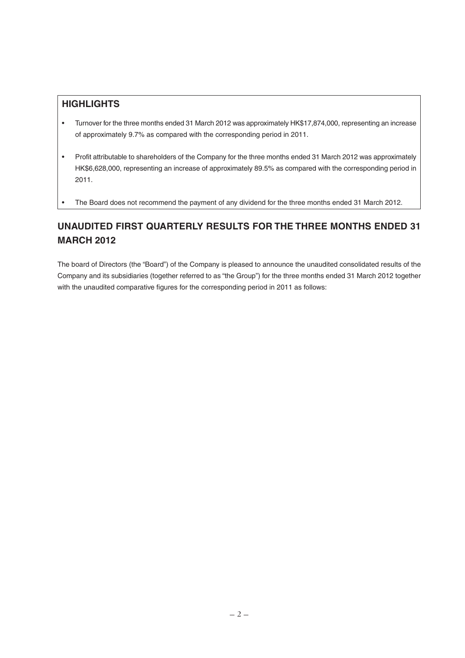# **HIGHLIGHTS**

- Turnover for the three months ended 31 March 2012 was approximately HK\$17,874,000, representing an increase of approximately 9.7% as compared with the corresponding period in 2011.
- Profit attributable to shareholders of the Company for the three months ended 31 March 2012 was approximately HK\$6,628,000, representing an increase of approximately 89.5% as compared with the corresponding period in 2011.
- The Board does not recommend the payment of any dividend for the three months ended 31 March 2012.

# **UNAUDITED FIRST QUARTERLY RESULTS FOR THE THREE MONTHS ENDED 31 MARCH 2012**

The board of Directors (the "Board") of the Company is pleased to announce the unaudited consolidated results of the Company and its subsidiaries (together referred to as "the Group") for the three months ended 31 March 2012 together with the unaudited comparative figures for the corresponding period in 2011 as follows: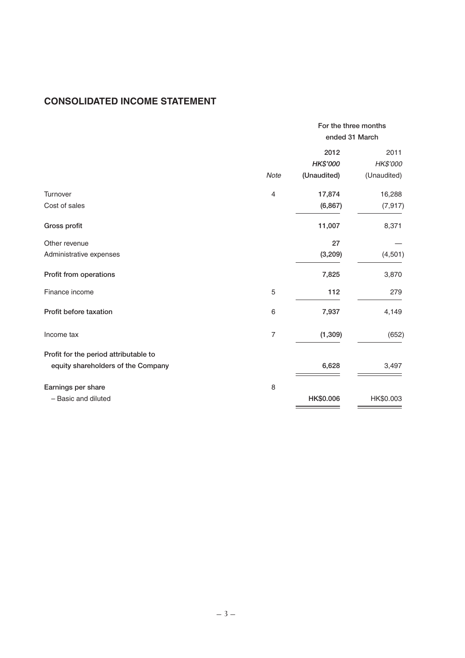# **CONSOLIDATED INCOME STATEMENT**

|                                       |                | For the three months |             |
|---------------------------------------|----------------|----------------------|-------------|
|                                       | ended 31 March |                      |             |
|                                       |                | 2012                 | 2011        |
|                                       |                | HK\$'000             | HK\$'000    |
|                                       | Note           | (Unaudited)          | (Unaudited) |
| Turnover                              | 4              | 17,874               | 16,288      |
| Cost of sales                         |                | (6, 867)             | (7, 917)    |
| Gross profit                          |                | 11,007               | 8,371       |
| Other revenue                         |                | 27                   |             |
| Administrative expenses               |                | (3, 209)             | (4,501)     |
| Profit from operations                |                | 7,825                | 3,870       |
| Finance income                        | 5              | 112                  | 279         |
| Profit before taxation                | 6              | 7,937                | 4,149       |
| Income tax                            | $\overline{7}$ | (1, 309)             | (652)       |
| Profit for the period attributable to |                |                      |             |
| equity shareholders of the Company    |                | 6,628                | 3,497       |
| Earnings per share                    | 8              |                      |             |
| - Basic and diluted                   |                | HK\$0.006            | HK\$0.003   |
|                                       |                |                      |             |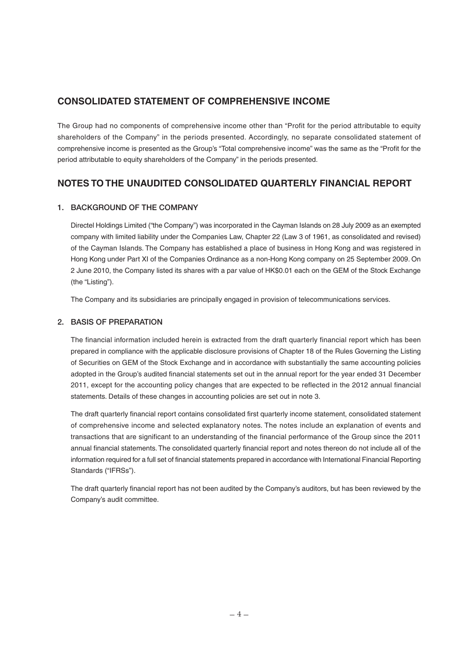# **CONSOLIDATED STATEMENT OF COMPREHENSIVE INCOME**

The Group had no components of comprehensive income other than "Profit for the period attributable to equity shareholders of the Company" in the periods presented. Accordingly, no separate consolidated statement of comprehensive income is presented as the Group's "Total comprehensive income" was the same as the "Profit for the period attributable to equity shareholders of the Company" in the periods presented.

# **NOTES TO THE UNAUDITED CONSOLIDATED QUARTERLY FINANCIAL REPORT**

### **1. BACKGROUND OF THE COMPANY**

Directel Holdings Limited ("the Company") was incorporated in the Cayman Islands on 28 July 2009 as an exempted company with limited liability under the Companies Law, Chapter 22 (Law 3 of 1961, as consolidated and revised) of the Cayman Islands. The Company has established a place of business in Hong Kong and was registered in Hong Kong under Part XI of the Companies Ordinance as a non-Hong Kong company on 25 September 2009. On 2 June 2010, the Company listed its shares with a par value of HK\$0.01 each on the GEM of the Stock Exchange (the "Listing").

The Company and its subsidiaries are principally engaged in provision of telecommunications services.

### **2. BASIS OF PREPARATION**

The financial information included herein is extracted from the draft quarterly financial report which has been prepared in compliance with the applicable disclosure provisions of Chapter 18 of the Rules Governing the Listing of Securities on GEM of the Stock Exchange and in accordance with substantially the same accounting policies adopted in the Group's audited financial statements set out in the annual report for the year ended 31 December 2011, except for the accounting policy changes that are expected to be reflected in the 2012 annual financial statements. Details of these changes in accounting policies are set out in note 3.

The draft quarterly financial report contains consolidated first quarterly income statement, consolidated statement of comprehensive income and selected explanatory notes. The notes include an explanation of events and transactions that are significant to an understanding of the financial performance of the Group since the 2011 annual financial statements. The consolidated quarterly financial report and notes thereon do not include all of the information required for a full set of financial statements prepared in accordance with International Financial Reporting Standards ("IFRSs").

The draft quarterly financial report has not been audited by the Company's auditors, but has been reviewed by the Company's audit committee.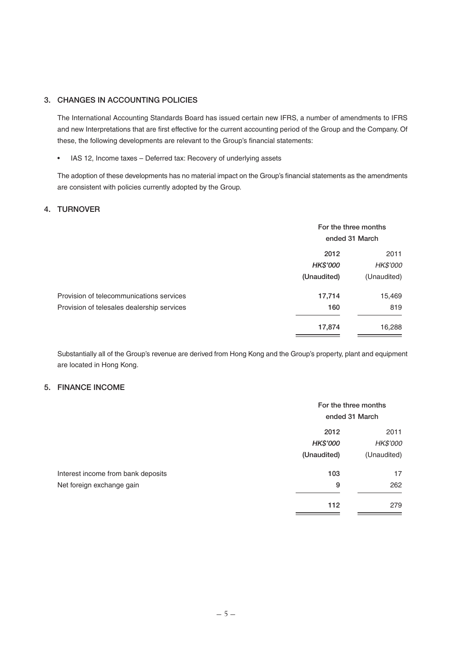### **3. CHANGES IN ACCOUNTING POLICIES**

The International Accounting Standards Board has issued certain new IFRS, a number of amendments to IFRS and new Interpretations that are first effective for the current accounting period of the Group and the Company. Of these, the following developments are relevant to the Group's financial statements:

• IAS 12, Income taxes – Deferred tax: Recovery of underlying assets

The adoption of these developments has no material impact on the Group's financial statements as the amendments are consistent with policies currently adopted by the Group.

### **4. TURNOVER**

|                                            | For the three months<br>ended 31 March |             |
|--------------------------------------------|----------------------------------------|-------------|
|                                            | 2012                                   | 2011        |
|                                            | HK\$'000                               | HK\$'000    |
|                                            | (Unaudited)                            | (Unaudited) |
| Provision of telecommunications services   | 17,714                                 | 15,469      |
| Provision of telesales dealership services | 160                                    | 819         |
|                                            | 17,874                                 | 16,288      |

Substantially all of the Group's revenue are derived from Hong Kong and the Group's property, plant and equipment are located in Hong Kong.

### **5. FINANCE INCOME**

|                                    | For the three months<br>ended 31 March |                 |
|------------------------------------|----------------------------------------|-----------------|
|                                    | 2012                                   | 2011            |
|                                    | HK\$'000                               | <b>HK\$'000</b> |
|                                    | (Unaudited)                            | (Unaudited)     |
| Interest income from bank deposits | 103                                    | 17              |
| Net foreign exchange gain          | 9                                      | 262             |
|                                    | 112                                    | 279             |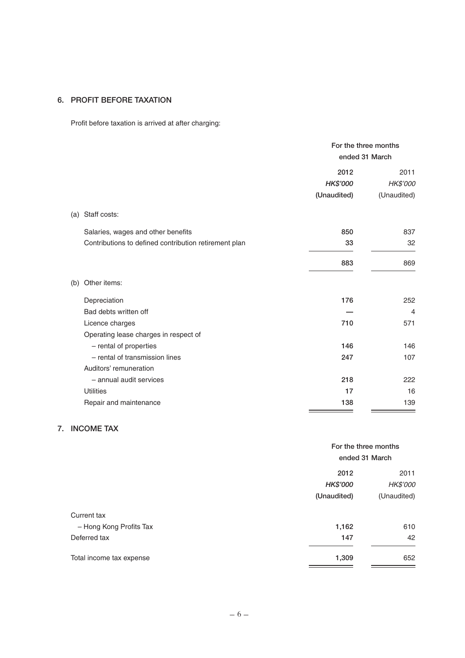# **6. PROFIT BEFORE TAXATION**

Profit before taxation is arrived at after charging:

|                                                       |             | For the three months<br>ended 31 March |  |
|-------------------------------------------------------|-------------|----------------------------------------|--|
|                                                       | 2012        | 2011                                   |  |
|                                                       | HK\$'000    | HK\$'000                               |  |
|                                                       | (Unaudited) | (Unaudited)                            |  |
| Staff costs:<br>(a)                                   |             |                                        |  |
| Salaries, wages and other benefits                    | 850         | 837                                    |  |
| Contributions to defined contribution retirement plan | 33          | 32                                     |  |
|                                                       | 883         | 869                                    |  |
| Other items:<br>(b)                                   |             |                                        |  |
| Depreciation                                          | 176         | 252                                    |  |
| Bad debts written off                                 |             | $\overline{4}$                         |  |
| Licence charges                                       | 710         | 571                                    |  |
| Operating lease charges in respect of                 |             |                                        |  |
| - rental of properties                                | 146         | 146                                    |  |
| - rental of transmission lines                        | 247         | 107                                    |  |
| Auditors' remuneration                                |             |                                        |  |
| - annual audit services                               | 218         | 222                                    |  |
| <b>Utilities</b>                                      | 17          | 16                                     |  |
| Repair and maintenance                                | 138         | 139                                    |  |

# **7. INCOME TAX**

|                          | For the three months<br>ended 31 March |             |
|--------------------------|----------------------------------------|-------------|
|                          |                                        |             |
|                          | 2012                                   |             |
|                          | HK\$'000                               | HK\$'000    |
|                          | (Unaudited)                            | (Unaudited) |
| Current tax              |                                        |             |
| - Hong Kong Profits Tax  | 1,162                                  | 610         |
| Deferred tax             | 147                                    | 42          |
| Total income tax expense | 1,309                                  | 652         |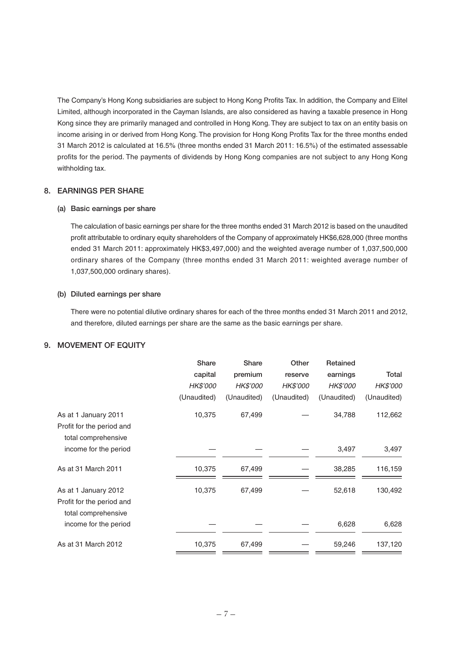The Company's Hong Kong subsidiaries are subject to Hong Kong Profits Tax. In addition, the Company and Elitel Limited, although incorporated in the Cayman Islands, are also considered as having a taxable presence in Hong Kong since they are primarily managed and controlled in Hong Kong. They are subject to tax on an entity basis on income arising in or derived from Hong Kong. The provision for Hong Kong Profits Tax for the three months ended 31 March 2012 is calculated at 16.5% (three months ended 31 March 2011: 16.5%) of the estimated assessable profits for the period. The payments of dividends by Hong Kong companies are not subject to any Hong Kong withholding tax.

#### **8. EARNINGS PER SHARE**

#### **(a) Basic earnings per share**

The calculation of basic earnings per share for the three months ended 31 March 2012 is based on the unaudited profit attributable to ordinary equity shareholders of the Company of approximately HK\$6,628,000 (three months ended 31 March 2011: approximately HK\$3,497,000) and the weighted average number of 1,037,500,000 ordinary shares of the Company (three months ended 31 March 2011: weighted average number of 1,037,500,000 ordinary shares).

#### **(b) Diluted earnings per share**

There were no potential dilutive ordinary shares for each of the three months ended 31 March 2011 and 2012, and therefore, diluted earnings per share are the same as the basic earnings per share.

### **9. MOVEMENT OF EQUITY**

|                                                  | Share       | Share       | Other           | Retained    |                 |
|--------------------------------------------------|-------------|-------------|-----------------|-------------|-----------------|
|                                                  | capital     | premium     | reserve         | earnings    | Total           |
|                                                  | HK\$'000    | HK\$'000    | <i>HK\$'000</i> | HK\$'000    | <b>HK\$'000</b> |
|                                                  | (Unaudited) | (Unaudited) | (Unaudited)     | (Unaudited) | (Unaudited)     |
| As at 1 January 2011                             | 10,375      | 67,499      |                 | 34,788      | 112,662         |
| Profit for the period and                        |             |             |                 |             |                 |
| total comprehensive                              |             |             |                 |             |                 |
| income for the period                            |             |             |                 | 3,497       | 3,497           |
| As at 31 March 2011                              | 10,375      | 67,499      |                 | 38,285      | 116,159         |
| As at 1 January 2012                             | 10,375      | 67,499      |                 | 52,618      | 130,492         |
| Profit for the period and<br>total comprehensive |             |             |                 |             |                 |
| income for the period                            |             |             |                 | 6,628       | 6,628           |
| As at 31 March 2012                              | 10,375      | 67,499      |                 | 59,246      | 137,120         |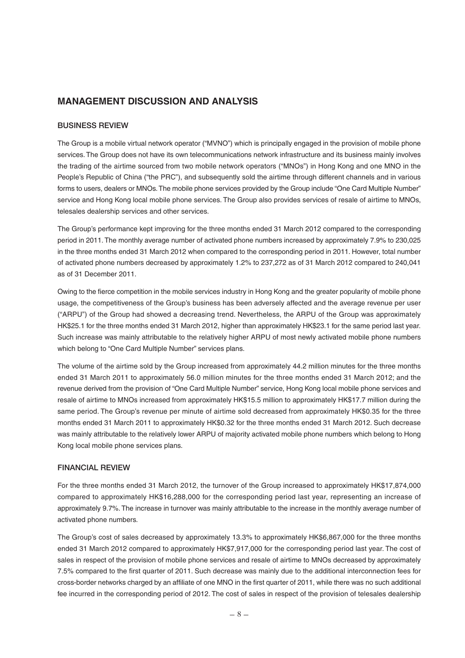# **MANAGEMENT DISCUSSION AND ANALYSIS**

### **BUSINESS REVIEW**

The Group is a mobile virtual network operator ("MVNO") which is principally engaged in the provision of mobile phone services. The Group does not have its own telecommunications network infrastructure and its business mainly involves the trading of the airtime sourced from two mobile network operators ("MNOs") in Hong Kong and one MNO in the People's Republic of China ("the PRC"), and subsequently sold the airtime through different channels and in various forms to users, dealers or MNOs. The mobile phone services provided by the Group include "One Card Multiple Number" service and Hong Kong local mobile phone services. The Group also provides services of resale of airtime to MNOs, telesales dealership services and other services.

The Group's performance kept improving for the three months ended 31 March 2012 compared to the corresponding period in 2011. The monthly average number of activated phone numbers increased by approximately 7.9% to 230,025 in the three months ended 31 March 2012 when compared to the corresponding period in 2011. However, total number of activated phone numbers decreased by approximately 1.2% to 237,272 as of 31 March 2012 compared to 240,041 as of 31 December 2011.

Owing to the fierce competition in the mobile services industry in Hong Kong and the greater popularity of mobile phone usage, the competitiveness of the Group's business has been adversely affected and the average revenue per user ("ARPU") of the Group had showed a decreasing trend. Nevertheless, the ARPU of the Group was approximately HK\$25.1 for the three months ended 31 March 2012, higher than approximately HK\$23.1 for the same period last year. Such increase was mainly attributable to the relatively higher ARPU of most newly activated mobile phone numbers which belong to "One Card Multiple Number" services plans.

The volume of the airtime sold by the Group increased from approximately 44.2 million minutes for the three months ended 31 March 2011 to approximately 56.0 million minutes for the three months ended 31 March 2012; and the revenue derived from the provision of "One Card Multiple Number" service, Hong Kong local mobile phone services and resale of airtime to MNOs increased from approximately HK\$15.5 million to approximately HK\$17.7 million during the same period. The Group's revenue per minute of airtime sold decreased from approximately HK\$0.35 for the three months ended 31 March 2011 to approximately HK\$0.32 for the three months ended 31 March 2012. Such decrease was mainly attributable to the relatively lower ARPU of majority activated mobile phone numbers which belong to Hong Kong local mobile phone services plans.

### **FINANCIAL REVIEW**

For the three months ended 31 March 2012, the turnover of the Group increased to approximately HK\$17,874,000 compared to approximately HK\$16,288,000 for the corresponding period last year, representing an increase of approximately 9.7%. The increase in turnover was mainly attributable to the increase in the monthly average number of activated phone numbers.

The Group's cost of sales decreased by approximately 13.3% to approximately HK\$6,867,000 for the three months ended 31 March 2012 compared to approximately HK\$7,917,000 for the corresponding period last year. The cost of sales in respect of the provision of mobile phone services and resale of airtime to MNOs decreased by approximately 7.5% compared to the first quarter of 2011. Such decrease was mainly due to the additional interconnection fees for cross-border networks charged by an affiliate of one MNO in the first quarter of 2011, while there was no such additional fee incurred in the corresponding period of 2012. The cost of sales in respect of the provision of telesales dealership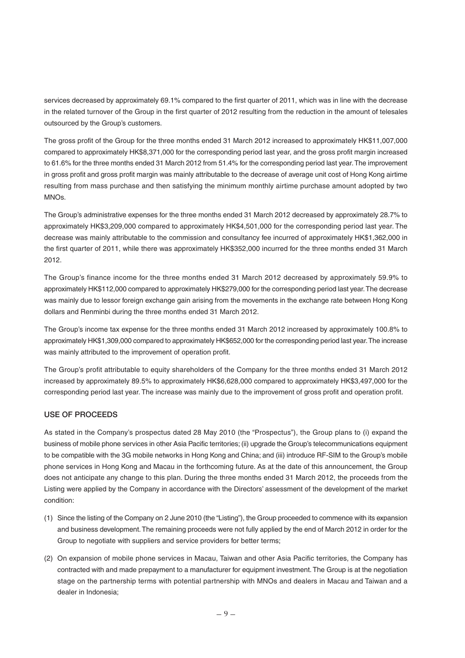services decreased by approximately 69.1% compared to the first quarter of 2011, which was in line with the decrease in the related turnover of the Group in the first quarter of 2012 resulting from the reduction in the amount of telesales outsourced by the Group's customers.

The gross profit of the Group for the three months ended 31 March 2012 increased to approximately HK\$11,007,000 compared to approximately HK\$8,371,000 for the corresponding period last year, and the gross profit margin increased to 61.6% for the three months ended 31 March 2012 from 51.4% for the corresponding period last year. The improvement in gross profit and gross profit margin was mainly attributable to the decrease of average unit cost of Hong Kong airtime resulting from mass purchase and then satisfying the minimum monthly airtime purchase amount adopted by two MNOs.

The Group's administrative expenses for the three months ended 31 March 2012 decreased by approximately 28.7% to approximately HK\$3,209,000 compared to approximately HK\$4,501,000 for the corresponding period last year. The decrease was mainly attributable to the commission and consultancy fee incurred of approximately HK\$1,362,000 in the first quarter of 2011, while there was approximately HK\$352,000 incurred for the three months ended 31 March 2012.

The Group's finance income for the three months ended 31 March 2012 decreased by approximately 59.9% to approximately HK\$112,000 compared to approximately HK\$279,000 for the corresponding period last year. The decrease was mainly due to lessor foreign exchange gain arising from the movements in the exchange rate between Hong Kong dollars and Renminbi during the three months ended 31 March 2012.

The Group's income tax expense for the three months ended 31 March 2012 increased by approximately 100.8% to approximately HK\$1,309,000 compared to approximately HK\$652,000 for the corresponding period last year. The increase was mainly attributed to the improvement of operation profit.

The Group's profit attributable to equity shareholders of the Company for the three months ended 31 March 2012 increased by approximately 89.5% to approximately HK\$6,628,000 compared to approximately HK\$3,497,000 for the corresponding period last year. The increase was mainly due to the improvement of gross profit and operation profit.

### **USE OF PROCEEDS**

As stated in the Company's prospectus dated 28 May 2010 (the "Prospectus"), the Group plans to (i) expand the business of mobile phone services in other Asia Pacific territories; (ii) upgrade the Group's telecommunications equipment to be compatible with the 3G mobile networks in Hong Kong and China; and (iii) introduce RF-SIM to the Group's mobile phone services in Hong Kong and Macau in the forthcoming future. As at the date of this announcement, the Group does not anticipate any change to this plan. During the three months ended 31 March 2012, the proceeds from the Listing were applied by the Company in accordance with the Directors' assessment of the development of the market condition:

- (1) Since the listing of the Company on 2 June 2010 (the "Listing"), the Group proceeded to commence with its expansion and business development. The remaining proceeds were not fully applied by the end of March 2012 in order for the Group to negotiate with suppliers and service providers for better terms;
- (2) On expansion of mobile phone services in Macau, Taiwan and other Asia Pacific territories, the Company has contracted with and made prepayment to a manufacturer for equipment investment. The Group is at the negotiation stage on the partnership terms with potential partnership with MNOs and dealers in Macau and Taiwan and a dealer in Indonesia;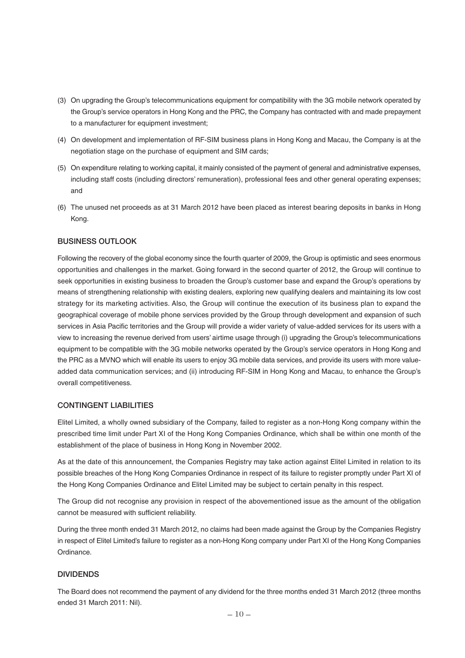- (3) On upgrading the Group's telecommunications equipment for compatibility with the 3G mobile network operated by the Group's service operators in Hong Kong and the PRC, the Company has contracted with and made prepayment to a manufacturer for equipment investment;
- (4) On development and implementation of RF-SIM business plans in Hong Kong and Macau, the Company is at the negotiation stage on the purchase of equipment and SIM cards;
- (5) On expenditure relating to working capital, it mainly consisted of the payment of general and administrative expenses, including staff costs (including directors' remuneration), professional fees and other general operating expenses; and
- (6) The unused net proceeds as at 31 March 2012 have been placed as interest bearing deposits in banks in Hong Kong.

### **BUSINESS OUTLOOK**

Following the recovery of the global economy since the fourth quarter of 2009, the Group is optimistic and sees enormous opportunities and challenges in the market. Going forward in the second quarter of 2012, the Group will continue to seek opportunities in existing business to broaden the Group's customer base and expand the Group's operations by means of strengthening relationship with existing dealers, exploring new qualifying dealers and maintaining its low cost strategy for its marketing activities. Also, the Group will continue the execution of its business plan to expand the geographical coverage of mobile phone services provided by the Group through development and expansion of such services in Asia Pacific territories and the Group will provide a wider variety of value-added services for its users with a view to increasing the revenue derived from users' airtime usage through (i) upgrading the Group's telecommunications equipment to be compatible with the 3G mobile networks operated by the Group's service operators in Hong Kong and the PRC as a MVNO which will enable its users to enjoy 3G mobile data services, and provide its users with more valueadded data communication services; and (ii) introducing RF-SIM in Hong Kong and Macau, to enhance the Group's overall competitiveness.

#### **CONTINGENT LIABILITIES**

Elitel Limited, a wholly owned subsidiary of the Company, failed to register as a non-Hong Kong company within the prescribed time limit under Part XI of the Hong Kong Companies Ordinance, which shall be within one month of the establishment of the place of business in Hong Kong in November 2002.

As at the date of this announcement, the Companies Registry may take action against Elitel Limited in relation to its possible breaches of the Hong Kong Companies Ordinance in respect of its failure to register promptly under Part XI of the Hong Kong Companies Ordinance and Elitel Limited may be subject to certain penalty in this respect.

The Group did not recognise any provision in respect of the abovementioned issue as the amount of the obligation cannot be measured with sufficient reliability.

During the three month ended 31 March 2012, no claims had been made against the Group by the Companies Registry in respect of Elitel Limited's failure to register as a non-Hong Kong company under Part XI of the Hong Kong Companies Ordinance.

#### **DIVIDENDS**

The Board does not recommend the payment of any dividend for the three months ended 31 March 2012 (three months ended 31 March 2011: Nil).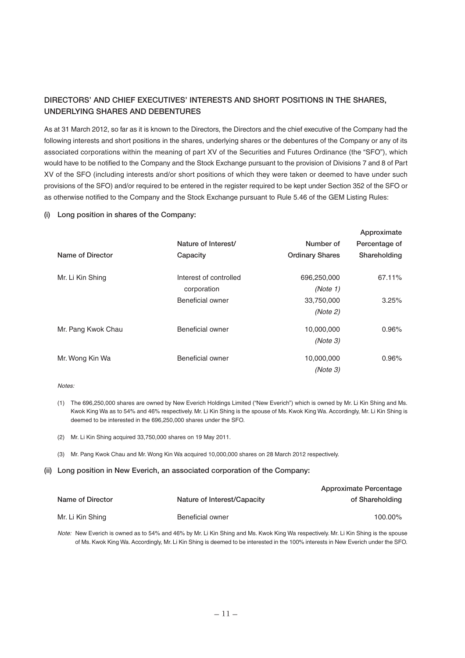# **DIRECTORS' AND CHIEF EXECUTIVES' INTERESTS AND SHORT POSITIONS IN THE SHARES, UNDERLYING SHARES AND DEBENTURES**

As at 31 March 2012, so far as it is known to the Directors, the Directors and the chief executive of the Company had the following interests and short positions in the shares, underlying shares or the debentures of the Company or any of its associated corporations within the meaning of part XV of the Securities and Futures Ordinance (the "SFO"), which would have to be notified to the Company and the Stock Exchange pursuant to the provision of Divisions 7 and 8 of Part XV of the SFO (including interests and/or short positions of which they were taken or deemed to have under such provisions of the SFO) and/or required to be entered in the register required to be kept under Section 352 of the SFO or as otherwise notified to the Company and the Stock Exchange pursuant to Rule 5.46 of the GEM Listing Rules:

#### **(i) Long position in shares of the Company:**

|                    |                         |                        | <b>Approximate</b> |
|--------------------|-------------------------|------------------------|--------------------|
|                    | Nature of Interest/     | Number of              | Percentage of      |
| Name of Director   | Capacity                | <b>Ordinary Shares</b> | Shareholding       |
| Mr. Li Kin Shing   | Interest of controlled  | 696,250,000            | 67.11%             |
|                    | corporation             | (Note 1)               |                    |
|                    | Beneficial owner        | 33,750,000             | 3.25%              |
|                    |                         | (Note 2)               |                    |
| Mr. Pang Kwok Chau | <b>Beneficial owner</b> | 10,000,000             | 0.96%              |
|                    |                         | (Note 3)               |                    |
| Mr. Wong Kin Wa    | <b>Beneficial owner</b> | 10,000,000             | 0.96%              |
|                    |                         | (Note 3)               |                    |

**Approximate**

#### Notes:

(1) The 696,250,000 shares are owned by New Everich Holdings Limited ("New Everich") which is owned by Mr. Li Kin Shing and Ms. Kwok King Wa as to 54% and 46% respectively. Mr. Li Kin Shing is the spouse of Ms. Kwok King Wa. Accordingly, Mr. Li Kin Shing is deemed to be interested in the 696,250,000 shares under the SFO.

(2) Mr. Li Kin Shing acquired 33,750,000 shares on 19 May 2011.

(3) Mr. Pang Kwok Chau and Mr. Wong Kin Wa acquired 10,000,000 shares on 28 March 2012 respectively.

#### **(ii) Long position in New Everich, an associated corporation of the Company:**

|                  |                             | Approximate Percentage |
|------------------|-----------------------------|------------------------|
| Name of Director | Nature of Interest/Capacity | of Shareholding        |
| Mr. Li Kin Shing | Beneficial owner            | 100.00%                |

Note: New Everich is owned as to 54% and 46% by Mr. Li Kin Shing and Ms. Kwok King Wa respectively. Mr. Li Kin Shing is the spouse of Ms. Kwok King Wa. Accordingly, Mr. Li Kin Shing is deemed to be interested in the 100% interests in New Everich under the SFO.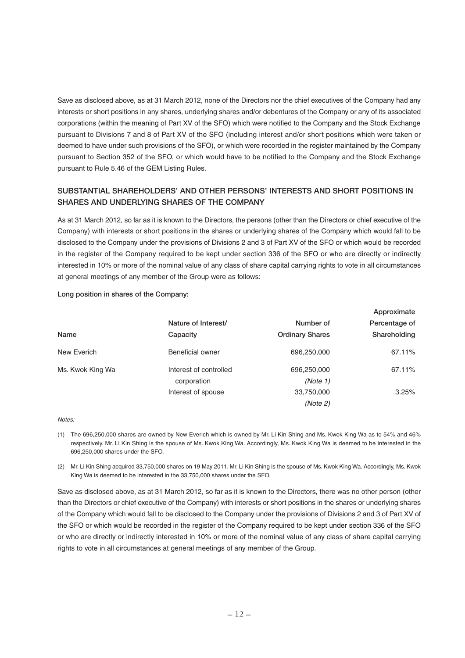Save as disclosed above, as at 31 March 2012, none of the Directors nor the chief executives of the Company had any interests or short positions in any shares, underlying shares and/or debentures of the Company or any of its associated corporations (within the meaning of Part XV of the SFO) which were notified to the Company and the Stock Exchange pursuant to Divisions 7 and 8 of Part XV of the SFO (including interest and/or short positions which were taken or deemed to have under such provisions of the SFO), or which were recorded in the register maintained by the Company pursuant to Section 352 of the SFO, or which would have to be notified to the Company and the Stock Exchange pursuant to Rule 5.46 of the GEM Listing Rules.

# **SUBSTANTIAL SHAREHOLDERS' AND OTHER PERSONS' INTERESTS AND SHORT POSITIONS IN SHARES AND UNDERLYING SHARES OF THE COMPANY**

As at 31 March 2012, so far as it is known to the Directors, the persons (other than the Directors or chief executive of the Company) with interests or short positions in the shares or underlying shares of the Company which would fall to be disclosed to the Company under the provisions of Divisions 2 and 3 of Part XV of the SFO or which would be recorded in the register of the Company required to be kept under section 336 of the SFO or who are directly or indirectly interested in 10% or more of the nominal value of any class of share capital carrying rights to vote in all circumstances at general meetings of any member of the Group were as follows:

|                  |                        |                        | Approximate   |
|------------------|------------------------|------------------------|---------------|
|                  | Nature of Interest/    | Number of              | Percentage of |
| Name             | Capacity               | <b>Ordinary Shares</b> | Shareholding  |
| New Everich      | Beneficial owner       | 696,250,000            | 67.11%        |
| Ms. Kwok King Wa | Interest of controlled | 696,250,000            | 67.11%        |
|                  | corporation            | (Note 1)               |               |
|                  | Interest of spouse     | 33,750,000             | 3.25%         |
|                  |                        | (Note 2)               |               |

#### **Long position in shares of the Company:**

#### Notes:

(1) The 696,250,000 shares are owned by New Everich which is owned by Mr. Li Kin Shing and Ms. Kwok King Wa as to 54% and 46% respectively. Mr. Li Kin Shing is the spouse of Ms. Kwok King Wa. Accordingly, Ms. Kwok King Wa is deemed to be interested in the 696,250,000 shares under the SFO.

(2) Mr. Li Kin Shing acquired 33,750,000 shares on 19 May 2011. Mr. Li Kin Shing is the spouse of Ms. Kwok King Wa. Accordingly, Ms. Kwok King Wa is deemed to be interested in the 33,750,000 shares under the SFO.

Save as disclosed above, as at 31 March 2012, so far as it is known to the Directors, there was no other person (other than the Directors or chief executive of the Company) with interests or short positions in the shares or underlying shares of the Company which would fall to be disclosed to the Company under the provisions of Divisions 2 and 3 of Part XV of the SFO or which would be recorded in the register of the Company required to be kept under section 336 of the SFO or who are directly or indirectly interested in 10% or more of the nominal value of any class of share capital carrying rights to vote in all circumstances at general meetings of any member of the Group.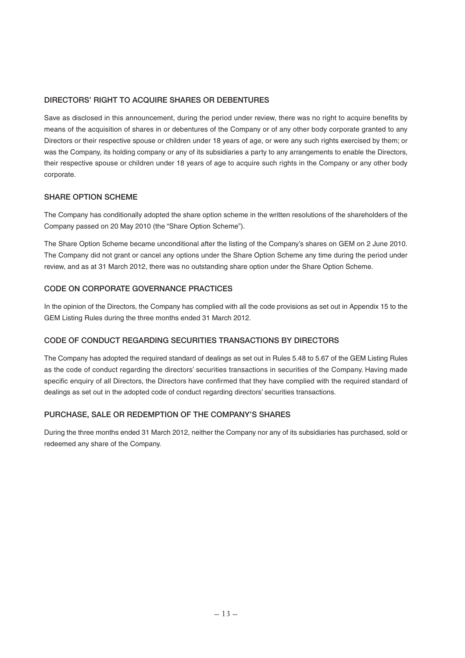## **DIRECTORS' RIGHT TO ACQUIRE SHARES OR DEBENTURES**

Save as disclosed in this announcement, during the period under review, there was no right to acquire benefits by means of the acquisition of shares in or debentures of the Company or of any other body corporate granted to any Directors or their respective spouse or children under 18 years of age, or were any such rights exercised by them; or was the Company, its holding company or any of its subsidiaries a party to any arrangements to enable the Directors, their respective spouse or children under 18 years of age to acquire such rights in the Company or any other body corporate.

### **SHARE OPTION SCHEME**

The Company has conditionally adopted the share option scheme in the written resolutions of the shareholders of the Company passed on 20 May 2010 (the "Share Option Scheme").

The Share Option Scheme became unconditional after the listing of the Company's shares on GEM on 2 June 2010. The Company did not grant or cancel any options under the Share Option Scheme any time during the period under review, and as at 31 March 2012, there was no outstanding share option under the Share Option Scheme.

# **CODE ON CORPORATE GOVERNANCE PRACTICES**

In the opinion of the Directors, the Company has complied with all the code provisions as set out in Appendix 15 to the GEM Listing Rules during the three months ended 31 March 2012.

# **CODE OF CONDUCT REGARDING SECURITIES TRANSACTIONS BY DIRECTORS**

The Company has adopted the required standard of dealings as set out in Rules 5.48 to 5.67 of the GEM Listing Rules as the code of conduct regarding the directors' securities transactions in securities of the Company. Having made specific enquiry of all Directors, the Directors have confirmed that they have complied with the required standard of dealings as set out in the adopted code of conduct regarding directors' securities transactions.

### **PURCHASE, SALE OR REDEMPTION OF THE COMPANY'S SHARES**

During the three months ended 31 March 2012, neither the Company nor any of its subsidiaries has purchased, sold or redeemed any share of the Company.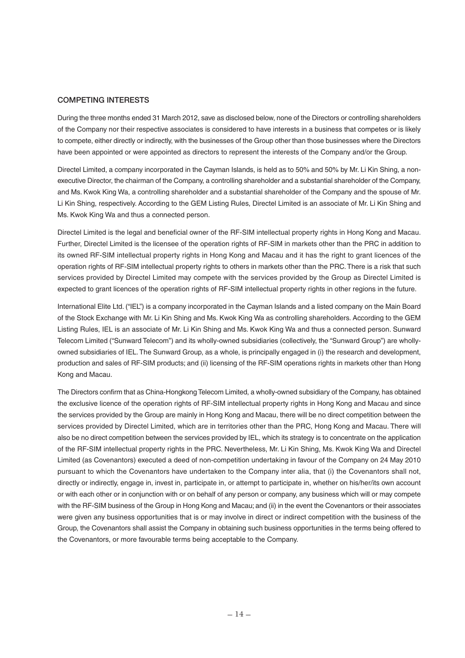#### **COMPETING INTERESTS**

During the three months ended 31 March 2012, save as disclosed below, none of the Directors or controlling shareholders of the Company nor their respective associates is considered to have interests in a business that competes or is likely to compete, either directly or indirectly, with the businesses of the Group other than those businesses where the Directors have been appointed or were appointed as directors to represent the interests of the Company and/or the Group.

Directel Limited, a company incorporated in the Cayman Islands, is held as to 50% and 50% by Mr. Li Kin Shing, a nonexecutive Director, the chairman of the Company, a controlling shareholder and a substantial shareholder of the Company, and Ms. Kwok King Wa, a controlling shareholder and a substantial shareholder of the Company and the spouse of Mr. Li Kin Shing, respectively. According to the GEM Listing Rules, Directel Limited is an associate of Mr. Li Kin Shing and Ms. Kwok King Wa and thus a connected person.

Directel Limited is the legal and beneficial owner of the RF-SIM intellectual property rights in Hong Kong and Macau. Further, Directel Limited is the licensee of the operation rights of RF-SIM in markets other than the PRC in addition to its owned RF-SIM intellectual property rights in Hong Kong and Macau and it has the right to grant licences of the operation rights of RF-SIM intellectual property rights to others in markets other than the PRC. There is a risk that such services provided by Directel Limited may compete with the services provided by the Group as Directel Limited is expected to grant licences of the operation rights of RF-SIM intellectual property rights in other regions in the future.

International Elite Ltd. ("IEL") is a company incorporated in the Cayman Islands and a listed company on the Main Board of the Stock Exchange with Mr. Li Kin Shing and Ms. Kwok King Wa as controlling shareholders. According to the GEM Listing Rules, IEL is an associate of Mr. Li Kin Shing and Ms. Kwok King Wa and thus a connected person. Sunward Telecom Limited ("Sunward Telecom") and its wholly-owned subsidiaries (collectively, the "Sunward Group") are whollyowned subsidiaries of IEL. The Sunward Group, as a whole, is principally engaged in (i) the research and development, production and sales of RF-SIM products; and (ii) licensing of the RF-SIM operations rights in markets other than Hong Kong and Macau.

The Directors confirm that as China-Hongkong Telecom Limited, a wholly-owned subsidiary of the Company, has obtained the exclusive licence of the operation rights of RF-SIM intellectual property rights in Hong Kong and Macau and since the services provided by the Group are mainly in Hong Kong and Macau, there will be no direct competition between the services provided by Directel Limited, which are in territories other than the PRC, Hong Kong and Macau. There will also be no direct competition between the services provided by IEL, which its strategy is to concentrate on the application of the RF-SIM intellectual property rights in the PRC. Nevertheless, Mr. Li Kin Shing, Ms. Kwok King Wa and Directel Limited (as Covenantors) executed a deed of non-competition undertaking in favour of the Company on 24 May 2010 pursuant to which the Covenantors have undertaken to the Company inter alia, that (i) the Covenantors shall not, directly or indirectly, engage in, invest in, participate in, or attempt to participate in, whether on his/her/its own account or with each other or in conjunction with or on behalf of any person or company, any business which will or may compete with the RF-SIM business of the Group in Hong Kong and Macau; and (ii) in the event the Covenantors or their associates were given any business opportunities that is or may involve in direct or indirect competition with the business of the Group, the Covenantors shall assist the Company in obtaining such business opportunities in the terms being offered to the Covenantors, or more favourable terms being acceptable to the Company.